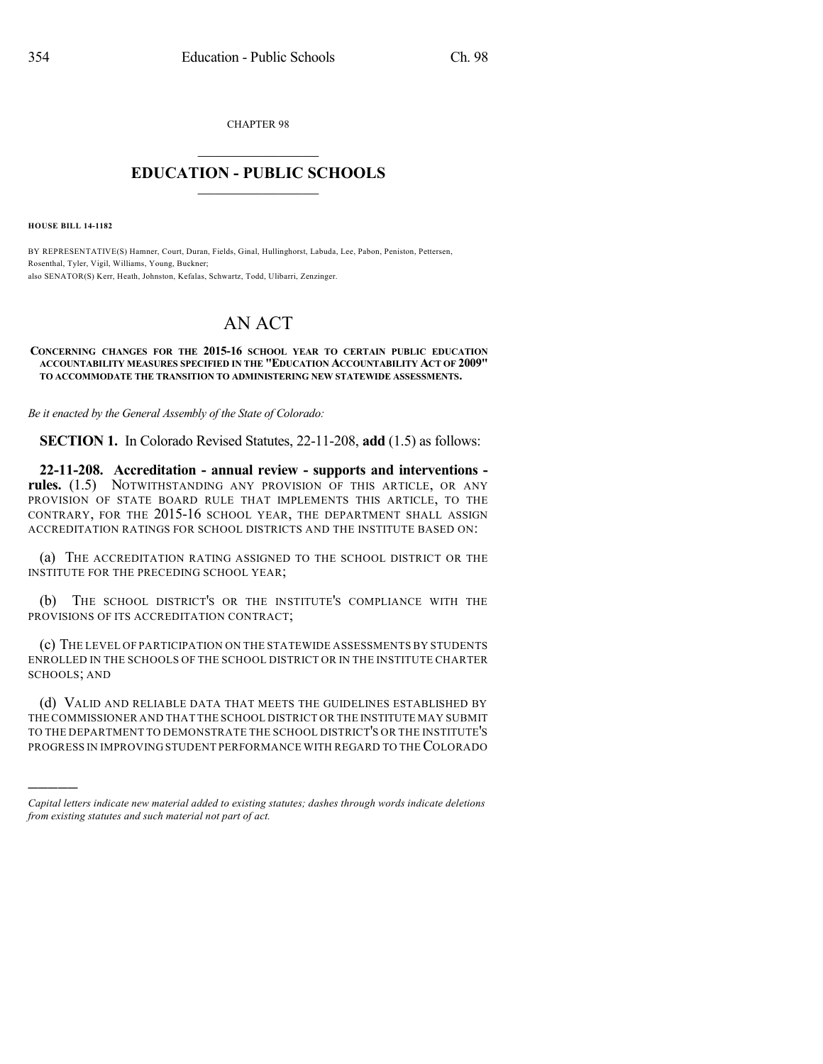CHAPTER 98  $\mathcal{L}_\text{max}$  . The set of the set of the set of the set of the set of the set of the set of the set of the set of the set of the set of the set of the set of the set of the set of the set of the set of the set of the set

## **EDUCATION - PUBLIC SCHOOLS**  $\_$   $\_$   $\_$   $\_$   $\_$   $\_$   $\_$   $\_$   $\_$

**HOUSE BILL 14-1182**

)))))

BY REPRESENTATIVE(S) Hamner, Court, Duran, Fields, Ginal, Hullinghorst, Labuda, Lee, Pabon, Peniston, Pettersen, Rosenthal, Tyler, Vigil, Williams, Young, Buckner; also SENATOR(S) Kerr, Heath, Johnston, Kefalas, Schwartz, Todd, Ulibarri, Zenzinger.

## AN ACT

## **CONCERNING CHANGES FOR THE 2015-16 SCHOOL YEAR TO CERTAIN PUBLIC EDUCATION ACCOUNTABILITY MEASURES SPECIFIED IN THE "EDUCATION ACCOUNTABILITY ACT OF 2009" TO ACCOMMODATE THE TRANSITION TO ADMINISTERING NEW STATEWIDE ASSESSMENTS.**

*Be it enacted by the General Assembly of the State of Colorado:*

**SECTION 1.** In Colorado Revised Statutes, 22-11-208, **add** (1.5) as follows:

**22-11-208. Accreditation - annual review - supports and interventions rules.** (1.5) NOTWITHSTANDING ANY PROVISION OF THIS ARTICLE, OR ANY PROVISION OF STATE BOARD RULE THAT IMPLEMENTS THIS ARTICLE, TO THE CONTRARY, FOR THE 2015-16 SCHOOL YEAR, THE DEPARTMENT SHALL ASSIGN ACCREDITATION RATINGS FOR SCHOOL DISTRICTS AND THE INSTITUTE BASED ON:

(a) THE ACCREDITATION RATING ASSIGNED TO THE SCHOOL DISTRICT OR THE INSTITUTE FOR THE PRECEDING SCHOOL YEAR;

(b) THE SCHOOL DISTRICT'S OR THE INSTITUTE'S COMPLIANCE WITH THE PROVISIONS OF ITS ACCREDITATION CONTRACT;

(c) THE LEVEL OF PARTICIPATION ON THE STATEWIDE ASSESSMENTS BY STUDENTS ENROLLED IN THE SCHOOLS OF THE SCHOOL DISTRICT OR IN THE INSTITUTE CHARTER SCHOOLS; AND

(d) VALID AND RELIABLE DATA THAT MEETS THE GUIDELINES ESTABLISHED BY THE COMMISSIONER AND THAT THE SCHOOL DISTRICT OR THE INSTITUTE MAY SUBMIT TO THE DEPARTMENT TO DEMONSTRATE THE SCHOOL DISTRICT'S OR THE INSTITUTE'S PROGRESS IN IMPROVING STUDENT PERFORMANCE WITH REGARD TO THE COLORADO

*Capital letters indicate new material added to existing statutes; dashes through words indicate deletions from existing statutes and such material not part of act.*